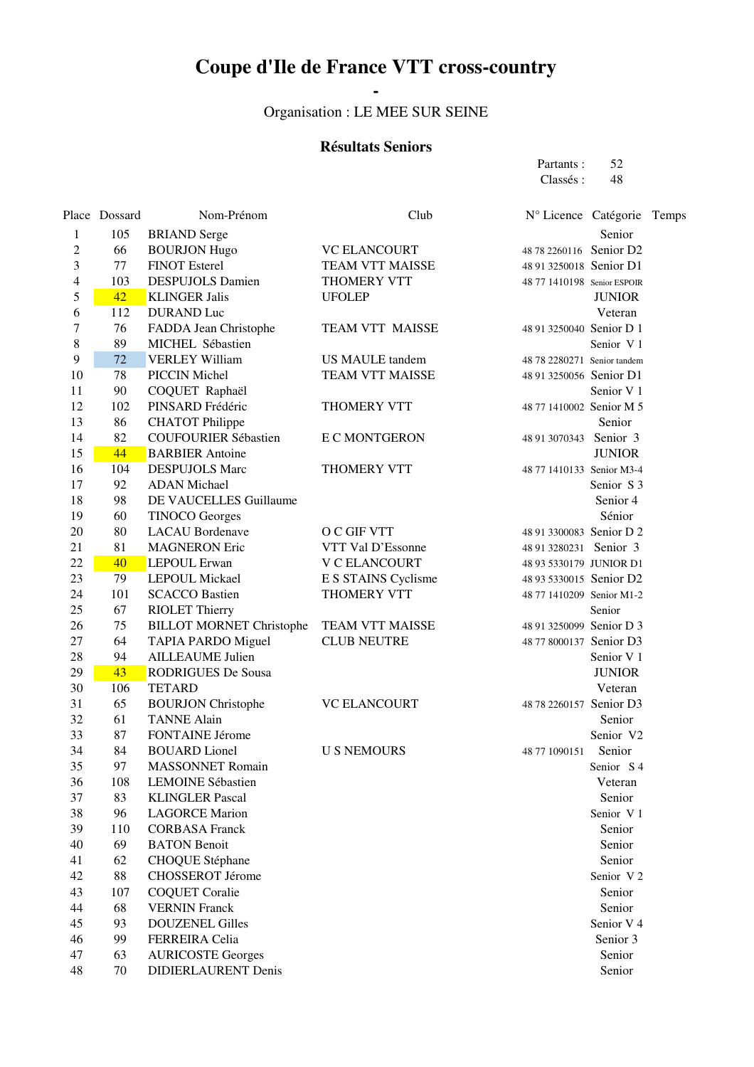# **Coupe d'Ile de France VTT cross-country**

 **-**  Organisation : LE MEE SUR SEINE

#### **Résultats Seniors**

| Partants:     | 52                                                     |  |
|---------------|--------------------------------------------------------|--|
| Classés:      | - 48                                                   |  |
|               | Nº Licence Catégorie Tem                               |  |
|               |                                                        |  |
|               | Senior                                                 |  |
|               | 48 78 2260116 Senior D2                                |  |
|               | 48 91 3250018 Senior D1                                |  |
|               | 48 77 1410198 Senior ESPOIR                            |  |
|               | <b>JUNIOR</b>                                          |  |
|               | Veteran                                                |  |
|               | 48 91 3250040 Senior D 1<br>Senior V <sub>1</sub>      |  |
|               |                                                        |  |
|               | 48 78 2280271 Senior tandem<br>48 91 3250056 Senior D1 |  |
|               | Senior V <sub>1</sub>                                  |  |
|               | 48 77 1410002 Senior M 5                               |  |
|               |                                                        |  |
|               | Senior                                                 |  |
|               | 48 91 3070343 Senior 3<br><b>JUNIOR</b>                |  |
|               | 48 77 1410133 Senior M3-4                              |  |
|               | Senior S <sub>3</sub>                                  |  |
|               | Senior 4                                               |  |
|               | Sénior                                                 |  |
|               | 48 91 3300083 Senior D 2                               |  |
|               | 48 91 3280231 Senior 3                                 |  |
|               | 48 93 5330179 JUNIOR D1                                |  |
|               | 48 93 5330015 Senior D2                                |  |
|               | 48 77 1410209 Senior M1-2                              |  |
|               | Senior                                                 |  |
|               | 48 91 3250099 Senior D 3                               |  |
|               | 48 77 8000137 Senior D3                                |  |
|               | Senior V 1                                             |  |
|               | <b>JUNIOR</b>                                          |  |
|               | Veteran                                                |  |
|               | 48 78 2260157 Senior D3                                |  |
|               | Senior                                                 |  |
|               | Senior V2                                              |  |
| 48 77 1090151 | Senior                                                 |  |
|               | Senior S 4                                             |  |
|               | Veteran                                                |  |
|               | Senior                                                 |  |
|               | Senior V <sub>1</sub>                                  |  |
|               | Senior                                                 |  |
|               | Senior                                                 |  |
|               | Senior                                                 |  |
|               | Senior V <sub>2</sub>                                  |  |
|               | Senior                                                 |  |
|               | Senior                                                 |  |
|               | Senior V <sub>4</sub>                                  |  |
|               | Senior 3                                               |  |
|               | Senior                                                 |  |
|               | Senior                                                 |  |
|               |                                                        |  |

|                          | Place Dossard | Nom-Prénom                                     | Club                               | N° Licence Catégorie        |                       | Temps |
|--------------------------|---------------|------------------------------------------------|------------------------------------|-----------------------------|-----------------------|-------|
| 1                        | 105           | <b>BRIAND</b> Serge                            |                                    |                             | Senior                |       |
| $\overline{c}$           | 66            | <b>BOURJON Hugo</b>                            | <b>VC ELANCOURT</b>                | 48 78 2260116 Senior D2     |                       |       |
| 3                        | 77            | <b>FINOT Esterel</b>                           | TEAM VTT MAISSE                    | 48 91 3250018 Senior D1     |                       |       |
| $\overline{\mathcal{A}}$ | 103           | <b>DESPUJOLS Damien</b>                        | THOMERY VTT                        | 48 77 1410198 Senior ESPOIR |                       |       |
| 5                        | 42            | <b>KLINGER Jalis</b>                           | <b>UFOLEP</b>                      |                             | <b>JUNIOR</b>         |       |
| 6                        | 112           | <b>DURAND</b> Luc                              |                                    |                             | Veteran               |       |
| 7                        | 76            | FADDA Jean Christophe                          | TEAM VTT MAISSE                    | 48 91 3250040 Senior D 1    |                       |       |
| $\,8\,$                  | 89            | MICHEL Sébastien                               |                                    |                             | Senior V1             |       |
| 9                        | 72            | <b>VERLEY William</b>                          | US MAULE tandem                    | 48 78 2280271 Senior tandem |                       |       |
| 10                       | 78            | PICCIN Michel                                  | <b>TEAM VTT MAISSE</b>             | 48 91 3250056 Senior D1     |                       |       |
| 11                       | 90            | COQUET Raphaël                                 |                                    |                             | Senior V <sub>1</sub> |       |
| 12                       | 102           | PINSARD Frédéric                               | THOMERY VTT                        | 48 77 1410002 Senior M 5    |                       |       |
| 13                       | 86            | <b>CHATOT Philippe</b>                         |                                    |                             | Senior                |       |
| 14                       | 82            | <b>COUFOURIER Sébastien</b>                    | <b>E C MONTGERON</b>               | 48 91 3070343               | Senior 3              |       |
| 15                       | 44            | <b>BARBIER</b> Antoine                         |                                    |                             | <b>JUNIOR</b>         |       |
| 16                       | 104           | <b>DESPUJOLS Marc</b>                          | THOMERY VTT                        | 48 77 1410133 Senior M3-4   |                       |       |
| 17                       | 92            | <b>ADAN</b> Michael                            |                                    |                             | Senior S <sub>3</sub> |       |
| 18                       | 98            | DE VAUCELLES Guillaume                         |                                    |                             | Senior 4              |       |
| 19                       | 60            | <b>TINOCO</b> Georges                          |                                    |                             | Sénior                |       |
| 20                       | 80            | <b>LACAU</b> Bordenave                         | O C GIF VTT                        | 48 91 3300083 Senior D 2    |                       |       |
| 21                       | 81            | <b>MAGNERON Eric</b>                           | VTT Val D'Essonne                  | 48 91 3280231 Senior 3      |                       |       |
| 22                       | 40            | <b>LEPOUL Erwan</b>                            | <b>V C ELANCOURT</b>               | 48 93 5330179 JUNIOR D1     |                       |       |
| 23<br>24                 | 79<br>101     | <b>LEPOUL Mickael</b><br><b>SCACCO Bastien</b> | E S STAINS Cyclisme<br>THOMERY VTT | 48 93 5330015 Senior D2     |                       |       |
| 25                       | 67            | <b>RIOLET Thierry</b>                          |                                    | 48 77 1410209 Senior M1-2   | Senior                |       |
| 26                       | 75            | <b>BILLOT MORNET Christophe</b>                | TEAM VTT MAISSE                    | 48 91 3250099 Senior D 3    |                       |       |
| 27                       | 64            | TAPIA PARDO Miguel                             | <b>CLUB NEUTRE</b>                 | 48 77 8000137 Senior D3     |                       |       |
| 28                       | 94            | <b>AILLEAUME Julien</b>                        |                                    |                             | Senior V <sub>1</sub> |       |
| 29                       | 43            | <b>RODRIGUES De Sousa</b>                      |                                    |                             | <b>JUNIOR</b>         |       |
| 30                       | 106           | <b>TETARD</b>                                  |                                    |                             | Veteran               |       |
| 31                       | 65            | <b>BOURJON</b> Christophe                      | <b>VC ELANCOURT</b>                | 48 78 2260157 Senior D3     |                       |       |
| 32                       | 61            | <b>TANNE Alain</b>                             |                                    |                             | Senior                |       |
| 33                       | 87            | FONTAINE Jérome                                |                                    |                             | Senior V2             |       |
| 34                       | 84            | <b>BOUARD</b> Lionel                           | <b>U S NEMOURS</b>                 | 48 77 1090151               | Senior                |       |
| 35                       | 97            | <b>MASSONNET Romain</b>                        |                                    |                             | Senior S <sub>4</sub> |       |
| 36                       | 108           | <b>LEMOINE Sébastien</b>                       |                                    |                             | Veteran               |       |
| 37                       | 83            | <b>KLINGLER Pascal</b>                         |                                    |                             | Senior                |       |
| 38                       | 96            | <b>LAGORCE Marion</b>                          |                                    |                             | Senior V1             |       |
| 39                       | 110           | <b>CORBASA Franck</b>                          |                                    |                             | Senior                |       |
| 40                       | 69            | <b>BATON</b> Benoit                            |                                    |                             | Senior                |       |
| 41                       | 62            | CHOQUE Stéphane                                |                                    |                             | Senior                |       |
| 42                       | 88            | CHOSSEROT Jérome                               |                                    |                             | Senior V2             |       |
| 43                       | 107           | <b>COQUET Coralie</b>                          |                                    |                             | Senior                |       |
| 44                       | 68            | <b>VERNIN</b> Franck                           |                                    |                             | Senior                |       |
| 45                       | 93            | <b>DOUZENEL Gilles</b>                         |                                    |                             | Senior V <sub>4</sub> |       |
| 46                       | 99            | FERREIRA Celia                                 |                                    |                             | Senior 3              |       |
| 47                       | 63            | <b>AURICOSTE Georges</b>                       |                                    |                             | Senior                |       |
| 48                       | 70            | <b>DIDIERLAURENT Denis</b>                     |                                    |                             | Senior                |       |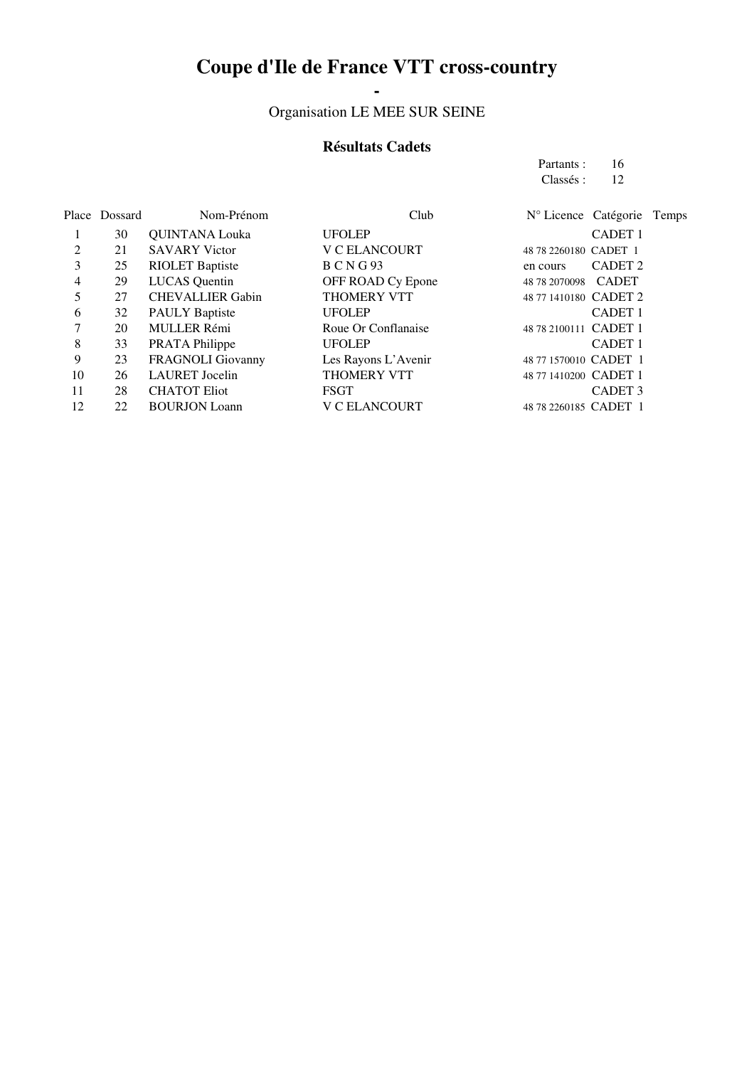## **Coupe d'Ile de France VTT cross-country**

## **-**  Organisation LE MEE SUR SEINE

### **Résultats Cadets**

| Partants: | 16 |
|-----------|----|
| Classés : | 12 |

|    | Place Dossard | Nom-Prénom              | Club                 | N° Licence Catégorie Temps     |
|----|---------------|-------------------------|----------------------|--------------------------------|
|    | 30            | <b>QUINTANA Louka</b>   | <b>UFOLEP</b>        | <b>CADET 1</b>                 |
| 2  | 21            | <b>SAVARY Victor</b>    | <b>V C ELANCOURT</b> | 48 78 2260180 CADET 1          |
| 3  | 25            | <b>RIOLET Baptiste</b>  | <b>BCNG93</b>        | CADET <sub>2</sub><br>en cours |
| 4  | 29            | <b>LUCAS</b> Quentin    | OFF ROAD Cy Epone    | 48 78 2070098 CADET            |
|    | 27            | <b>CHEVALLIER Gabin</b> | <b>THOMERY VTT</b>   | 48 77 1410180 CADET 2          |
| 6  | 32            | <b>PAULY Baptiste</b>   | <b>UFOLEP</b>        | <b>CADET 1</b>                 |
| 7  | 20            | <b>MULLER Rémi</b>      | Roue Or Conflanaise  | 48 78 2100111 CADET 1          |
| 8  | 33            | PRATA Philippe          | <b>UFOLEP</b>        | <b>CADET 1</b>                 |
| 9  | 23            | FRAGNOLI Giovanny       | Les Rayons L'Avenir  | 48 77 1570010 CADET 1          |
| 10 | 26            | <b>LAURET</b> Jocelin   | <b>THOMERY VTT</b>   | 48 77 1410200 CADET 1          |
| 11 | 28            | <b>CHATOT Eliot</b>     | <b>FSGT</b>          | CADET <sub>3</sub>             |
| 12 | 22            | <b>BOURJON</b> Loann    | <b>V C ELANCOURT</b> | 48 78 2260185 CADET 1          |
|    |               |                         |                      |                                |